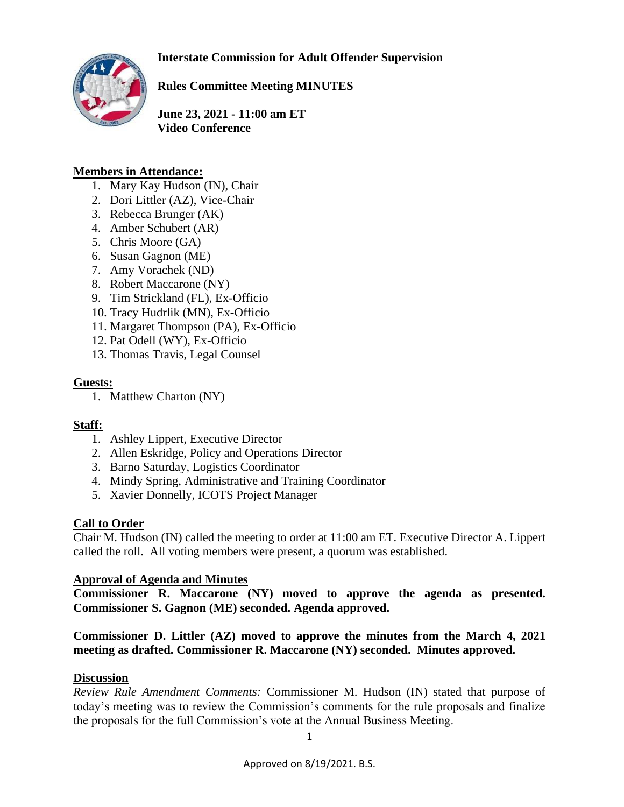

**Rules Committee Meeting MINUTES**

**June 23, 2021 - 11:00 am ET Video Conference** 

## **Members in Attendance:**

- 1. Mary Kay Hudson (IN), Chair
- 2. Dori Littler (AZ), Vice-Chair
- 3. Rebecca Brunger (AK)
- 4. Amber Schubert (AR)
- 5. Chris Moore (GA)
- 6. Susan Gagnon (ME)
- 7. Amy Vorachek (ND)
- 8. Robert Maccarone (NY)
- 9. Tim Strickland (FL), Ex-Officio
- 10. Tracy Hudrlik (MN), Ex-Officio
- 11. Margaret Thompson (PA), Ex-Officio
- 12. Pat Odell (WY), Ex-Officio
- 13. Thomas Travis, Legal Counsel

### **Guests:**

1. Matthew Charton (NY)

### **Staff:**

- 1. Ashley Lippert, Executive Director
- 2. Allen Eskridge, Policy and Operations Director
- 3. Barno Saturday, Logistics Coordinator
- 4. Mindy Spring, Administrative and Training Coordinator
- 5. Xavier Donnelly, ICOTS Project Manager

### **Call to Order**

Chair M. Hudson (IN) called the meeting to order at 11:00 am ET. Executive Director A. Lippert called the roll. All voting members were present, a quorum was established.

### **Approval of Agenda and Minutes**

**Commissioner R. Maccarone (NY) moved to approve the agenda as presented. Commissioner S. Gagnon (ME) seconded. Agenda approved.** 

**Commissioner D. Littler (AZ) moved to approve the minutes from the March 4, 2021 meeting as drafted. Commissioner R. Maccarone (NY) seconded. Minutes approved.** 

# **Discussion**

*Review Rule Amendment Comments:* Commissioner M. Hudson (IN) stated that purpose of today's meeting was to review the Commission's comments for the rule proposals and finalize the proposals for the full Commission's vote at the Annual Business Meeting.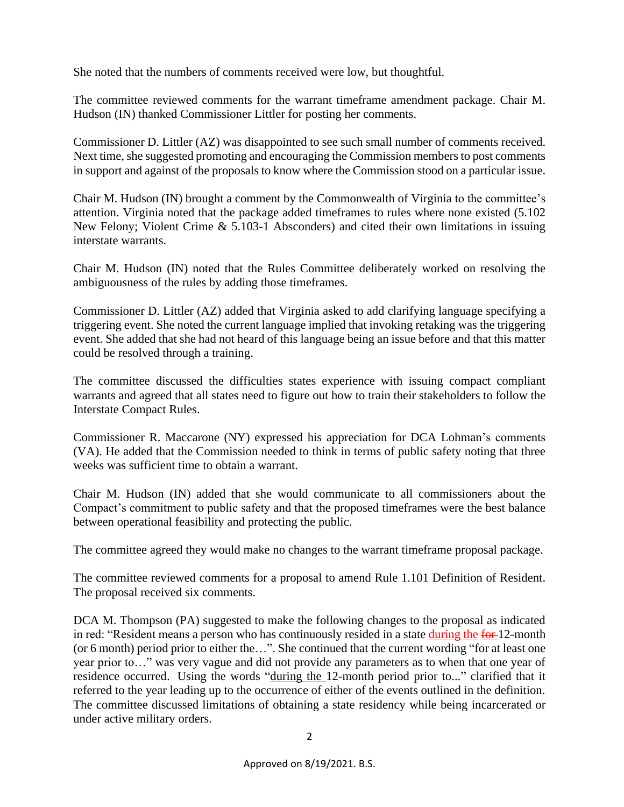She noted that the numbers of comments received were low, but thoughtful.

The committee reviewed comments for the warrant timeframe amendment package. Chair M. Hudson (IN) thanked Commissioner Littler for posting her comments.

Commissioner D. Littler (AZ) was disappointed to see such small number of comments received. Next time, she suggested promoting and encouraging the Commission members to post comments in support and against of the proposals to know where the Commission stood on a particular issue.

Chair M. Hudson (IN) brought a comment by the Commonwealth of Virginia to the committee's attention. Virginia noted that the package added timeframes to rules where none existed (5.102 New Felony; Violent Crime & 5.103-1 Absconders) and cited their own limitations in issuing interstate warrants.

Chair M. Hudson (IN) noted that the Rules Committee deliberately worked on resolving the ambiguousness of the rules by adding those timeframes.

Commissioner D. Littler (AZ) added that Virginia asked to add clarifying language specifying a triggering event. She noted the current language implied that invoking retaking was the triggering event. She added that she had not heard of this language being an issue before and that this matter could be resolved through a training.

The committee discussed the difficulties states experience with issuing compact compliant warrants and agreed that all states need to figure out how to train their stakeholders to follow the Interstate Compact Rules.

Commissioner R. Maccarone (NY) expressed his appreciation for DCA Lohman's comments (VA). He added that the Commission needed to think in terms of public safety noting that three weeks was sufficient time to obtain a warrant.

Chair M. Hudson (IN) added that she would communicate to all commissioners about the Compact's commitment to public safety and that the proposed timeframes were the best balance between operational feasibility and protecting the public.

The committee agreed they would make no changes to the warrant timeframe proposal package.

The committee reviewed comments for a proposal to amend Rule 1.101 Definition of Resident. The proposal received six comments.

DCA M. Thompson (PA) suggested to make the following changes to the proposal as indicated in red: "Resident means a person who has continuously resided in a state during the for 12-month (or 6 month) period prior to either the…". She continued that the current wording "for at least one year prior to…" was very vague and did not provide any parameters as to when that one year of residence occurred. Using the words "during the 12-month period prior to..." clarified that it referred to the year leading up to the occurrence of either of the events outlined in the definition. The committee discussed limitations of obtaining a state residency while being incarcerated or under active military orders.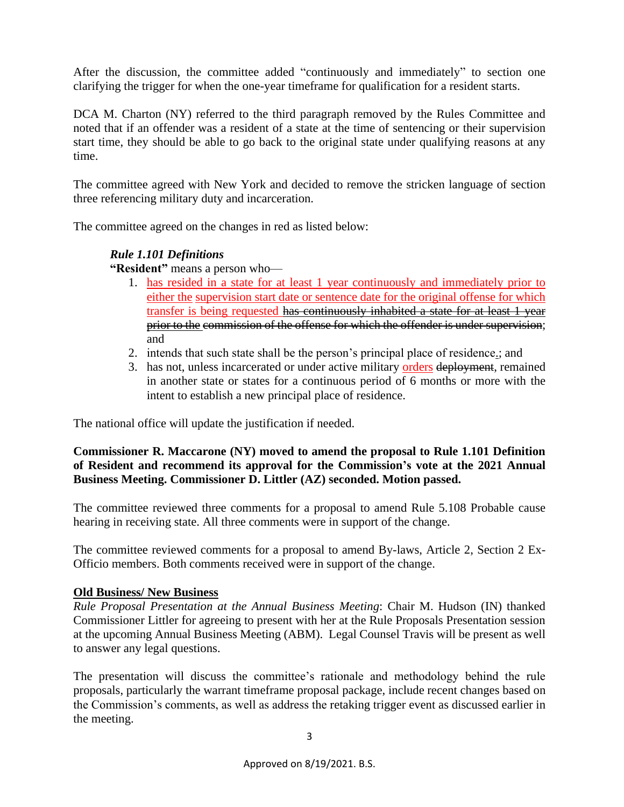After the discussion, the committee added "continuously and immediately" to section one clarifying the trigger for when the one-year timeframe for qualification for a resident starts.

DCA M. Charton (NY) referred to the third paragraph removed by the Rules Committee and noted that if an offender was a resident of a state at the time of sentencing or their supervision start time, they should be able to go back to the original state under qualifying reasons at any time.

The committee agreed with New York and decided to remove the stricken language of section three referencing military duty and incarceration.

The committee agreed on the changes in red as listed below:

### *Rule 1.101 Definitions*

**"Resident"** means a person who—

- 1. has resided in a state for at least 1 year continuously and immediately prior to either the supervision start date or sentence date for the original offense for which transfer is being requested has continuously inhabited a state for at least 1 year prior to the commission of the offense for which the offender is under supervision; and
- 2. intends that such state shall be the person's principal place of residence.; and
- 3. has not, unless incarcerated or under active military orders deployment, remained in another state or states for a continuous period of 6 months or more with the intent to establish a new principal place of residence.

The national office will update the justification if needed.

#### **Commissioner R. Maccarone (NY) moved to amend the proposal to Rule 1.101 Definition of Resident and recommend its approval for the Commission's vote at the 2021 Annual Business Meeting. Commissioner D. Littler (AZ) seconded. Motion passed.**

The committee reviewed three comments for a proposal to amend Rule 5.108 Probable cause hearing in receiving state. All three comments were in support of the change.

The committee reviewed comments for a proposal to amend By-laws, Article 2, Section 2 Ex-Officio members. Both comments received were in support of the change.

### **Old Business/ New Business**

*Rule Proposal Presentation at the Annual Business Meeting*: Chair M. Hudson (IN) thanked Commissioner Littler for agreeing to present with her at the Rule Proposals Presentation session at the upcoming Annual Business Meeting (ABM). Legal Counsel Travis will be present as well to answer any legal questions.

The presentation will discuss the committee's rationale and methodology behind the rule proposals, particularly the warrant timeframe proposal package, include recent changes based on the Commission's comments, as well as address the retaking trigger event as discussed earlier in the meeting.